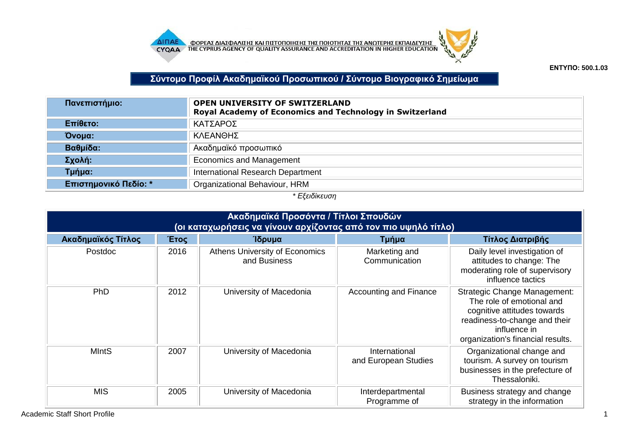



**ΕΝΤΥΠΟ: 500.1.03**

**Σύντομο Προφίλ Ακαδημαϊκού Προσωπικού / Σύντομο Βιογραφικό Σημείωμα**

| Πανεπιστήμιο:         | <b>OPEN UNIVERSITY OF SWITZERLAND</b><br>Royal Academy of Economics and Technology in Switzerland |  |  |  |
|-----------------------|---------------------------------------------------------------------------------------------------|--|--|--|
| Επίθετο:              | ΚΑΤΣΑΡΟΣ                                                                                          |  |  |  |
| Όνομα:                | ΚΛΕΑΝΘΗΣ                                                                                          |  |  |  |
| Βαθμίδα:              | Ακαδημαϊκό προσωπικό                                                                              |  |  |  |
| Σχολή:                | <b>Economics and Management</b>                                                                   |  |  |  |
| Τμήμα:                | International Research Department                                                                 |  |  |  |
| Επιστημονικό Πεδίο: * | Organizational Behaviour, HRM                                                                     |  |  |  |

## *\* Εξειδίκευση*

| Ακαδημαϊκά Προσόντα / Τίτλοι Σπουδών<br>(οι καταχωρήσεις να γίνουν αρχίζοντας από τον πιο υψηλό τίτλο) |      |                                                |                                       |                                                                                                                                                                                       |  |
|--------------------------------------------------------------------------------------------------------|------|------------------------------------------------|---------------------------------------|---------------------------------------------------------------------------------------------------------------------------------------------------------------------------------------|--|
| Ακαδημαϊκός Τίτλος                                                                                     | Έτος | Ίδρυμα                                         | Τμήμα                                 | Τίτλος Διατριβής                                                                                                                                                                      |  |
| Postdoc                                                                                                | 2016 | Athens University of Economics<br>and Business | Marketing and<br>Communication        | Daily level investigation of<br>attitudes to change: The<br>moderating role of supervisory<br>influence tactics                                                                       |  |
| PhD                                                                                                    | 2012 | University of Macedonia                        | Accounting and Finance                | <b>Strategic Change Management:</b><br>The role of emotional and<br>cognitive attitudes towards<br>readiness-to-change and their<br>influence in<br>organization's financial results. |  |
| <b>MIntS</b>                                                                                           | 2007 | University of Macedonia                        | International<br>and European Studies | Organizational change and<br>tourism. A survey on tourism<br>businesses in the prefecture of<br>Thessaloniki.                                                                         |  |
| <b>MIS</b>                                                                                             | 2005 | University of Macedonia                        | Interdepartmental<br>Programme of     | Business strategy and change<br>strategy in the information                                                                                                                           |  |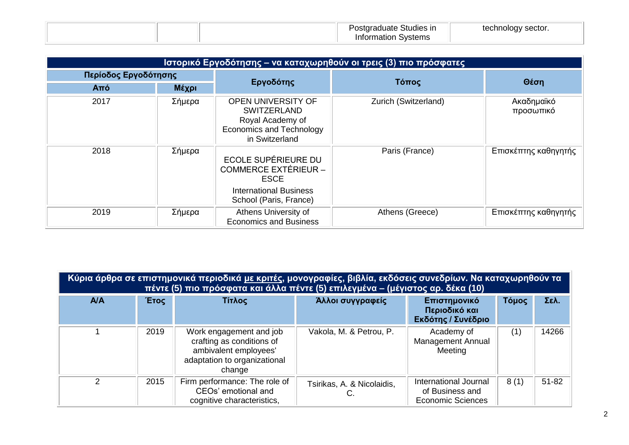|  | Postgraduate Studies in | technology sector. |
|--|-------------------------|--------------------|
|  | Information Systems     |                    |

|      | Ιστορικό Εργοδότησης – να καταχωρηθούν οι τρεις (3) πιο πρόσφατες |                                                                                                                              |                      |                         |  |  |
|------|-------------------------------------------------------------------|------------------------------------------------------------------------------------------------------------------------------|----------------------|-------------------------|--|--|
|      | Περίοδος Εργοδότησης                                              |                                                                                                                              | Τόπος                | Θέση                    |  |  |
| Aπó  | Μέχρι                                                             | Εργοδότης                                                                                                                    |                      |                         |  |  |
| 2017 | Σήμερα                                                            | <b>OPEN UNIVERSITY OF</b><br><b>SWITZERLAND</b><br>Royal Academy of<br><b>Economics and Technology</b><br>in Switzerland     | Zurich (Switzerland) | Ακαδημαϊκό<br>προσωπικό |  |  |
| 2018 | Σήμερα                                                            | ECOLE SUPÉRIEURE DU<br><b>COMMERCE EXTÉRIEUR -</b><br><b>ESCE</b><br><b>International Business</b><br>School (Paris, France) | Paris (France)       | Επισκέπτης καθηγητής    |  |  |
| 2019 | Σήμερα                                                            | Athens University of<br><b>Economics and Business</b>                                                                        | Athens (Greece)      | Επισκέπτης καθηγητής    |  |  |

|               | Κύρια άρθρα σε επιστημονικά περιοδικά <u>με κριτές</u> , μονογραφίες, βιβλία, εκδόσεις συνεδρίων. Να καταχωρηθούν τα<br>πέντε (5) πιο πρόσφατα και άλλα πέντε (5) επιλεγμένα – (μέγιστος αρ. δέκα (10) |                                                                                                                         |                                  |                                                                      |       |           |  |  |
|---------------|--------------------------------------------------------------------------------------------------------------------------------------------------------------------------------------------------------|-------------------------------------------------------------------------------------------------------------------------|----------------------------------|----------------------------------------------------------------------|-------|-----------|--|--|
| <b>A/A</b>    | Έτος                                                                                                                                                                                                   | Τίτλος                                                                                                                  | Άλλοι συγγραφείς                 | Επιστημονικό<br>Περιοδικό και<br>Εκδότης / Συνέδριο                  | Τόμος | Σελ.      |  |  |
|               | 2019                                                                                                                                                                                                   | Work engagement and job<br>crafting as conditions of<br>ambivalent employees'<br>adaptation to organizational<br>change | Vakola, M. & Petrou, P.          | Academy of<br><b>Management Annual</b><br>Meeting                    | (1)   | 14266     |  |  |
| $\mathcal{P}$ | 2015                                                                                                                                                                                                   | Firm performance: The role of<br>CEOs' emotional and<br>cognitive characteristics,                                      | Tsirikas, A. & Nicolaidis,<br>C. | International Journal<br>of Business and<br><b>Economic Sciences</b> | 8(1)  | $51 - 82$ |  |  |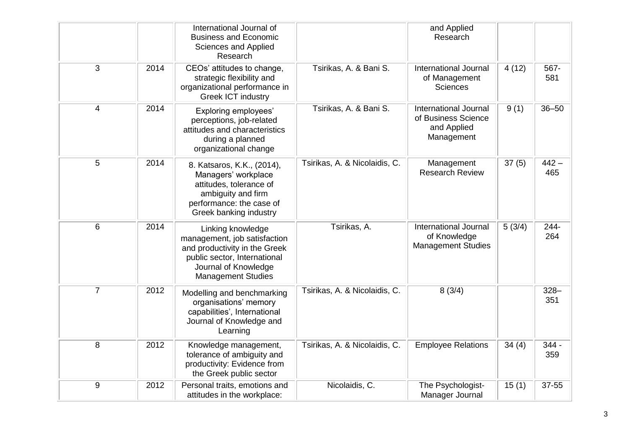|                |      | International Journal of<br><b>Business and Economic</b><br>Sciences and Applied<br>Research                                                                            |                               | and Applied<br>Research                                                          |        |                |
|----------------|------|-------------------------------------------------------------------------------------------------------------------------------------------------------------------------|-------------------------------|----------------------------------------------------------------------------------|--------|----------------|
| 3              | 2014 | CEOs' attitudes to change,<br>strategic flexibility and<br>organizational performance in<br><b>Greek ICT industry</b>                                                   | Tsirikas, A. & Bani S.        | International Journal<br>of Management<br><b>Sciences</b>                        | 4(12)  | 567-<br>581    |
| 4              | 2014 | <b>Exploring employees'</b><br>perceptions, job-related<br>attitudes and characteristics<br>during a planned<br>organizational change                                   | Tsirikas, A. & Bani S.        | <b>International Journal</b><br>of Business Science<br>and Applied<br>Management | 9(1)   | $36 - 50$      |
| 5              | 2014 | 8. Katsaros, K.K., (2014),<br>Managers' workplace<br>attitudes, tolerance of<br>ambiguity and firm<br>performance: the case of<br>Greek banking industry                | Tsirikas, A. & Nicolaidis, C. | Management<br><b>Research Review</b>                                             | 37(5)  | $442 -$<br>465 |
| 6              | 2014 | Linking knowledge<br>management, job satisfaction<br>and productivity in the Greek<br>public sector, International<br>Journal of Knowledge<br><b>Management Studies</b> | Tsirikas, A.                  | <b>International Journal</b><br>of Knowledge<br><b>Management Studies</b>        | 5(3/4) | 244-<br>264    |
| $\overline{7}$ | 2012 | Modelling and benchmarking<br>organisations' memory<br>capabilities', International<br>Journal of Knowledge and<br>Learning                                             | Tsirikas, A. & Nicolaidis, C. | 8(3/4)                                                                           |        | $328 -$<br>351 |
| $\,8\,$        | 2012 | Knowledge management,<br>tolerance of ambiguity and<br>productivity: Evidence from<br>the Greek public sector                                                           | Tsirikas, A. & Nicolaidis, C. | <b>Employee Relations</b>                                                        | 34(4)  | $344 -$<br>359 |
| 9              | 2012 | Personal traits, emotions and<br>attitudes in the workplace:                                                                                                            | Nicolaidis, C.                | The Psychologist-<br>Manager Journal                                             | 15(1)  | 37-55          |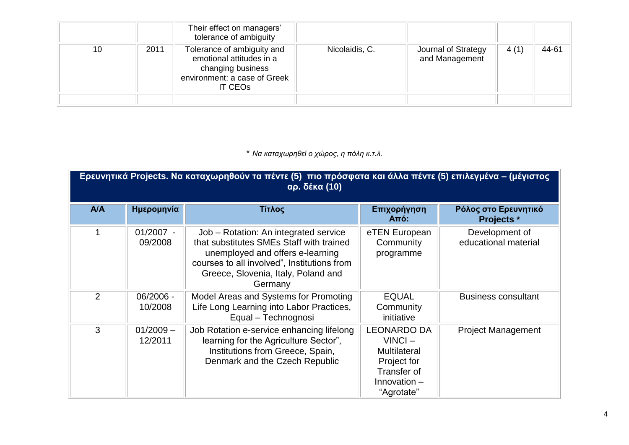|    |      | Their effect on managers'<br>tolerance of ambiguity                                                                           |                |                                       |      |       |
|----|------|-------------------------------------------------------------------------------------------------------------------------------|----------------|---------------------------------------|------|-------|
| 10 | 2011 | Tolerance of ambiguity and<br>emotional attitudes in a<br>changing business<br>environment: a case of Greek<br><b>IT CEOS</b> | Nicolaidis, C. | Journal of Strategy<br>and Management | 4(1) | 44-61 |
|    |      |                                                                                                                               |                |                                       |      |       |

\* *Να καταχωρηθεί ο χώρος, η πόλη κ.τ.λ.*

|            | Ερευνητικά Projects. Να καταχωρηθούν τα πέντε (5) πιο πρόσφατα και άλλα πέντε (5) επιλεγμένα – (μέγιστος<br><b>αρ. δέκα (10)</b> |                                                                                                                                                                                                                        |                                                                                                                      |                                           |  |  |  |
|------------|----------------------------------------------------------------------------------------------------------------------------------|------------------------------------------------------------------------------------------------------------------------------------------------------------------------------------------------------------------------|----------------------------------------------------------------------------------------------------------------------|-------------------------------------------|--|--|--|
| <b>A/A</b> | Ημερομηνία                                                                                                                       | Τίτλος                                                                                                                                                                                                                 | Επιχορήγηση<br><b>Από:</b>                                                                                           | Ρόλος στο Ερευνητικό<br><b>Projects</b> * |  |  |  |
| 1          | $01/2007 -$<br>09/2008                                                                                                           | Job - Rotation: An integrated service<br>that substitutes SMEs Staff with trained<br>unemployed and offers e-learning<br>courses to all involved", Institutions from<br>Greece, Slovenia, Italy, Poland and<br>Germany | eTEN European<br>Community<br>programme                                                                              | Development of<br>educational material    |  |  |  |
| 2          | 06/2006 -<br>10/2008                                                                                                             | Model Areas and Systems for Promoting<br>Life Long Learning into Labor Practices,<br>Equal - Technognosi                                                                                                               | <b>EQUAL</b><br>Community<br>initiative                                                                              | <b>Business consultant</b>                |  |  |  |
| 3          | $01/2009 -$<br>12/2011                                                                                                           | Job Rotation e-service enhancing lifelong<br>learning for the Agriculture Sector",<br>Institutions from Greece, Spain,<br>Denmark and the Czech Republic                                                               | <b>LEONARDO DA</b><br>$VINCI -$<br><b>Multilateral</b><br>Project for<br>Transfer of<br>Innovation $-$<br>"Agrotate" | <b>Project Management</b>                 |  |  |  |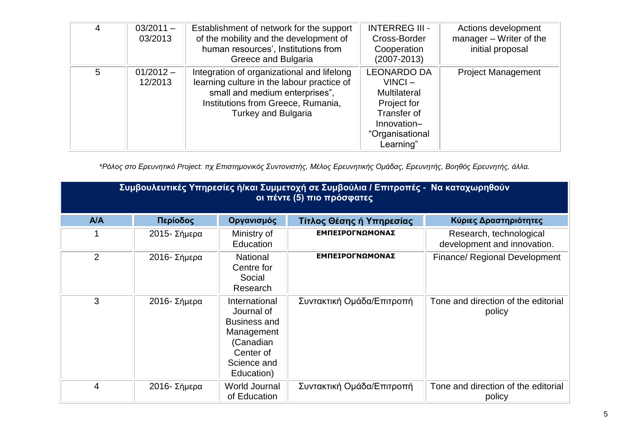| 4 | $03/2011 -$<br>03/2013 | Establishment of network for the support<br>of the mobility and the development of<br>human resources', Institutions from<br>Greece and Bulgaria                                               | <b>INTERREG III -</b><br>Cross-Border<br>Cooperation<br>$(2007 - 2013)$                                                             | Actions development<br>manager $-$ Writer of the<br>initial proposal |
|---|------------------------|------------------------------------------------------------------------------------------------------------------------------------------------------------------------------------------------|-------------------------------------------------------------------------------------------------------------------------------------|----------------------------------------------------------------------|
| 5 | $01/2012 -$<br>12/2013 | Integration of organizational and lifelong<br>learning culture in the labour practice of<br>small and medium enterprises",<br>Institutions from Greece, Rumania,<br><b>Turkey and Bulgaria</b> | <b>LEONARDO DA</b><br>$VINCI -$<br><b>Multilateral</b><br>Project for<br>Transfer of<br>Innovation-<br>"Organisational<br>Learning" | <b>Project Management</b>                                            |

*\*Ρόλος στο Ερευνητικό Project: πχ Επιστημονικός Συντονιστής, Μέλος Ερευνητικής Ομάδας, Ερευνητής, Βοηθός Ερευνητής, άλλα.*

| Συμβουλευτικές Υπηρεσίες ή/και Συμμετοχή σε Συμβούλια / Επιτροπές - Να καταχωρηθούν<br>οι πέντε (5) πιο πρόσφατες |              |                                                                                                                         |                           |                                                        |  |
|-------------------------------------------------------------------------------------------------------------------|--------------|-------------------------------------------------------------------------------------------------------------------------|---------------------------|--------------------------------------------------------|--|
| A/A                                                                                                               | Περίοδος     | Οργανισμός                                                                                                              | Τίτλος Θέσης ή Υπηρεσίας  | Κύριες Δραστηριότητες                                  |  |
|                                                                                                                   | 2015- Σήμερα | Ministry of<br>Education                                                                                                | ΕΜΠΕΙΡΟΓΝΩΜΟΝΑΣ           | Research, technological<br>development and innovation. |  |
| $\overline{2}$                                                                                                    | 2016- Σήμερα | National<br>Centre for<br>Social<br>Research                                                                            | ΕΜΠΕΙΡΟΓΝΩΜΟΝΑΣ           | <b>Finance/ Regional Development</b>                   |  |
| 3                                                                                                                 | 2016- Σήμερα | International<br>Journal of<br><b>Business and</b><br>Management<br>(Canadian<br>Center of<br>Science and<br>Education) | Συντακτική Ομάδα/Επιτροπή | Tone and direction of the editorial<br>policy          |  |
| 4                                                                                                                 | 2016- Σήμερα | World Journal<br>of Education                                                                                           | Συντακτική Ομάδα/Επιτροπή | Tone and direction of the editorial<br>policy          |  |